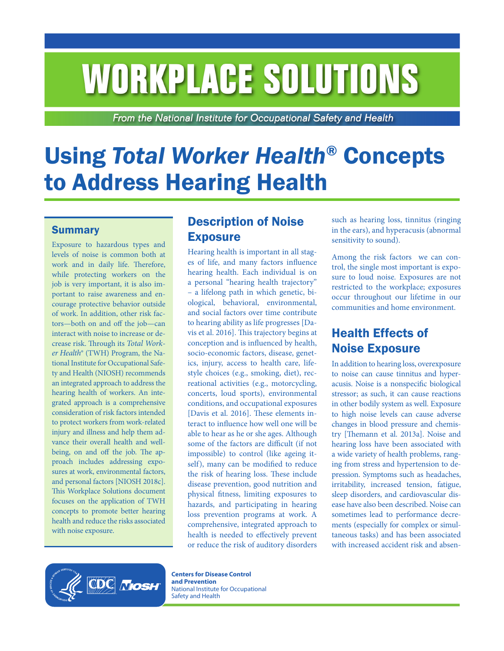# **WORKPLACE SOLUTIONS**

From the National Institute for Occupational Safety and Health

# Using *Total Worker Health*® Concepts to Address Hearing Health

#### **Summary**

Exposure to hazardous types and levels of noise is common both at work and in daily life. Therefore, while protecting workers on the job is very important, it is also important to raise awareness and encourage protective behavior outside of work. In addition, other risk factors—both on and off the job—can interact with noise to increase or decrease risk. Through its *Total Worker Health*® (TWH) Program, the National Institute for Occupational Safety and Health (NIOSH) recommends an integrated approach to address the hearing health of workers. An integrated approach is a comprehensive consideration of risk factors intended to protect workers from work-related injury and illness and help them advance their overall health and wellbeing, on and off the job. The approach includes addressing exposures at work, environmental factors, and personal factors [NIOSH 2018c]. This Workplace Solutions document focuses on the application of TWH concepts to promote better hearing health and reduce the risks associated with noise exposure.

# Description of Noise **Exposure**

Hearing health is important in all stages of life, and many factors influence hearing health. Each individual is on a personal "hearing health trajectory" – a lifelong path in which genetic, biological, behavioral, environmental, and social factors over time contribute to hearing ability as life progresses [Davis et al. 2016]. This trajectory begins at conception and is influenced by health, socio-economic factors, disease, genetics, injury, access to health care, lifestyle choices (e.g., smoking, diet), recreational activities (e.g., motorcycling, concerts, loud sports), environmental conditions, and occupational exposures [Davis et al. 2016]. These elements interact to influence how well one will be able to hear as he or she ages. Although some of the factors are difficult (if not impossible) to control (like ageing itself), many can be modified to reduce the risk of hearing loss. These include disease prevention, good nutrition and physical fitness, limiting exposures to hazards, and participating in hearing loss prevention programs at work. A comprehensive, integrated approach to health is needed to effectively prevent or reduce the risk of auditory disorders

such as hearing loss, tinnitus (ringing in the ears), and hyperacusis (abnormal sensitivity to sound).

Among the risk factors we can control, the single most important is exposure to loud noise. Exposures are not restricted to the workplace; exposures occur throughout our lifetime in our communities and home environment.

# Health Effects of Noise Exposure

In addition to hearing loss, overexposure to noise can cause tinnitus and hyperacusis. Noise is a nonspecific biological stressor; as such, it can cause reactions in other bodily system as well. Exposure to high noise levels can cause adverse changes in blood pressure and chemistry [Themann et al. 2013a]. Noise and hearing loss have been associated with a wide variety of health problems, ranging from stress and hypertension to depression. Symptoms such as headaches, irritability, increased tension, fatigue, sleep disorders, and cardiovascular disease have also been described. Noise can sometimes lead to performance decrements (especially for complex or simultaneous tasks) and has been associated with increased accident risk and absen-



**Centers for Disease Control and Prevention** National Institute for Occupational Safety and Health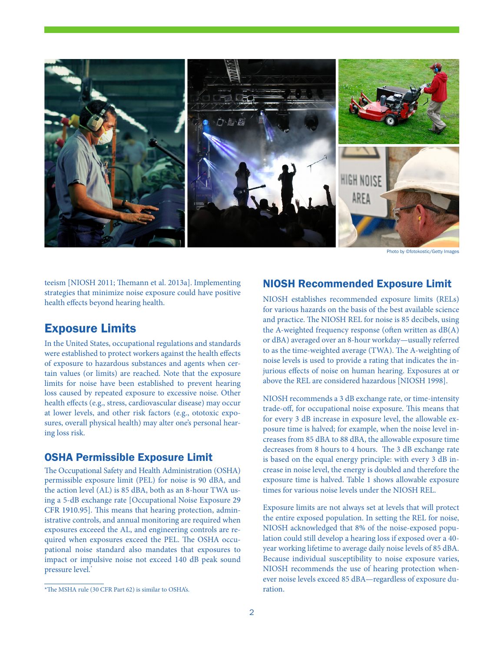

Photo by ©fotokostic/Getty Imag

teeism [NIOSH 2011; Themann et al. 2013a]. Implementing strategies that minimize noise exposure could have positive health effects beyond hearing health.

#### Exposure Limits

In the United States, occupational regulations and standards were established to protect workers against the health effects of exposure to hazardous substances and agents when certain values (or limits) are reached. Note that the exposure limits for noise have been established to prevent hearing loss caused by repeated exposure to excessive noise. Other health effects (e.g., stress, cardiovascular disease) may occur at lower levels, and other risk factors (e.g., ototoxic exposures, overall physical health) may alter one's personal hearing loss risk.

#### OSHA Permissible Exposure Limit

The Occupational Safety and Health Administration (OSHA) permissible exposure limit (PEL) for noise is 90 dBA, and the action level (AL) is 85 dBA, both as an 8-hour TWA using a 5-dB exchange rate [Occupational Noise Exposure [29](https://www.osha.gov/laws-regs/regulations/standardnumber/1910/1910.95) [CFR 1910.95](https://www.osha.gov/laws-regs/regulations/standardnumber/1910/1910.95)]. This means that hearing protection, administrative controls, and annual monitoring are required when exposures exceeed the AL, and engineering controls are required when exposures exceed the PEL. The OSHA occupational noise standard also mandates that exposures to impact or impulsive noise not exceed 140 dB peak sound pressure level.\*

#### NIOSH Recommended Exposure Limit

NIOSH establishes recommended exposure limits (RELs) for various hazards on the basis of the best available science and practice. The NIOSH REL for noise is 85 decibels, using the A-weighted frequency response (often written as  $dB(A)$ ) or dBA) averaged over an 8-hour workday—usually referred to as the time-weighted average (TWA). The A-weighting of noise levels is used to provide a rating that indicates the injurious effects of noise on human hearing. Exposures at or above the REL are considered hazardous [NIOSH 1998].

NIOSH recommends a 3 dB exchange rate, or time-intensity trade-off, for occupational noise exposure. This means that for every 3 dB increase in exposure level, the allowable exposure time is halved; for example, when the noise level increases from 85 dBA to 88 dBA, the allowable exposure time decreases from 8 hours to 4 hours. The 3 dB exchange rate is based on the equal energy principle: with every 3 dB increase in noise level, the energy is doubled and therefore the exposure time is halved. Table 1 shows allowable exposure times for various noise levels under the NIOSH REL.

Exposure limits are not always set at levels that will protect the entire exposed population. In setting the REL for noise, NIOSH acknowledged that 8% of the noise-exposed population could still develop a hearing loss if exposed over a 40 year working lifetime to average daily noise levels of 85 dBA. Because individual susceptibility to noise exposure varies, NIOSH recommends the use of hearing protection whenever noise levels exceed 85 dBA—regardless of exposure duration.

<sup>\*</sup>The MSHA rule (30 CFR Part 62) is similar to OSHA's.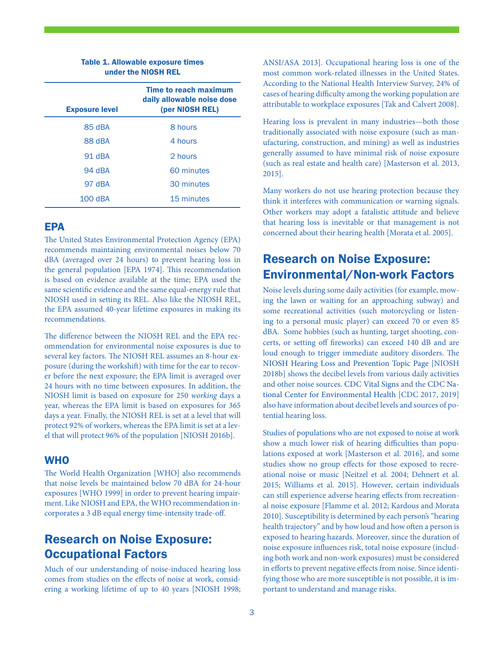| <b>Exposure level</b> | <b>Time to reach maximum</b><br>daily allowable noise dose<br>(per NIOSH REL) |
|-----------------------|-------------------------------------------------------------------------------|
| 85 dBA                | 8 hours                                                                       |
| 88 dBA                | 4 hours                                                                       |
| 91 dBA                | 2 hours                                                                       |
| 94 dBA                | 60 minutes                                                                    |
| 97 dBA                | 30 minutes                                                                    |
| $100$ dBA             | 15 minutes                                                                    |

#### Table 1. Allowable exposure times under the NIOSH REL

#### EPA

The United States Environmental Protection Agency (EPA) recommends maintaining environmental noises below 70 dBA (averaged over 24 hours) to prevent hearing loss in the general population [EPA 1974]. This recommendation is based on evidence available at the time; EPA used the same scientific evidence and the same equal-energy rule that NIOSH used in setting its REL. Also like the NIOSH REL, the EPA assumed 40-year lifetime exposures in making its recommendations.

The difference between the NIOSH REL and the EPA recommendation for environmental noise exposures is due to several key factors. The NIOSH REL assumes an 8-hour exposure (during the workshift) with time for the ear to recover before the next exposure; the EPA limit is averaged over 24 hours with no time between exposures. In addition, the NIOSH limit is based on exposure for 250 *working* days a year, whereas the EPA limit is based on exposures for 365 days a year. Finally, the NIOSH REL is set at a level that will protect 92% of workers, whereas the EPA limit is set at a level that will protect 96% of the population [NIOSH 2016b].

#### **WHO**

The World Health Organization [WHO] also recommends that noise levels be maintained below 70 dBA for 24-hour exposures [WHO 1999] in order to prevent hearing impairment. Like NIOSH and EPA, the WHO recommendation incorporates a 3 dB equal energy time-intensity trade-off.

# Research on Noise Exposure: Occupational Factors

Much of our understanding of noise-induced hearing loss comes from studies on the effects of noise at work, considering a working lifetime of up to 40 years [NIOSH 1998;

ANSI/ASA 2013]. Occupational hearing loss is one of the most common work-related illnesses in the United States. According to the National Health Interview Survey, 24% of cases of hearing difficulty among the working population are attributable to workplace exposures [Tak and Calvert 2008].

Hearing loss is prevalent in many industries—both those traditionally associated with noise exposure (such as manufacturing, construction, and mining) as well as industries generally assumed to have minimal risk of noise exposure (such as real estate and health care) [Masterson et al. 2013, 2015].

Many workers do not use hearing protection because they think it interferes with communication or warning signals. Other workers may adopt a fatalistic attitude and believe that hearing loss is inevitable or that management is not concerned about their hearing health [Morata et al. 2005].

# Research on Noise Exposure: Environmental/Non-work Factors

Noise levels during some daily activities (for example, mowing the lawn or waiting for an approaching subway) and some recreational activities (such motorcycling or listening to a personal music player) can exceed 70 or even 85 dBA. Some hobbies (such as hunting, target shooting, concerts, or setting off fireworks) can exceed 140 dB and are loud enough to trigger immediate auditory disorders. The [NIOSH Hearing Loss and Prevention Topic Page](https://www.cdc.gov/niosh/topics/noise/default.html) [NIOSH 2018b] shows the decibel levels from various daily activities and other noise sources. [CDC Vital Signs](https://www.cdc.gov/vitalsigns/hearingloss/infographic.html) and the [CDC Na](https://www.cdc.gov/nceh/hearing_loss/)[tional Center for Environmental Health](https://www.cdc.gov/nceh/hearing_loss/) [CDC 2017, 2019] also have information about decibel levels and sources of potential hearing loss.

Studies of populations who are not exposed to noise at work show a much lower risk of hearing difficulties than populations exposed at work [Masterson et al. 2016], and some studies show no group effects for those exposed to recreational noise or music [Neitzel et al. 2004; Dehnert et al. 2015; Williams et al. 2015]. However, certain individuals can still experience adverse hearing effects from recreational noise exposure [Flamme et al. 2012; Kardous and Morata 2010]. Susceptibility is determined by each person's "hearing health trajectory" and by how loud and how often a person is exposed to hearing hazards. Moreover, since the duration of noise exposure influences risk, total noise exposure (including both work and non-work exposures) must be considered in efforts to prevent negative effects from noise. Since identifying those who are more susceptible is not possible, it is important to understand and manage risks.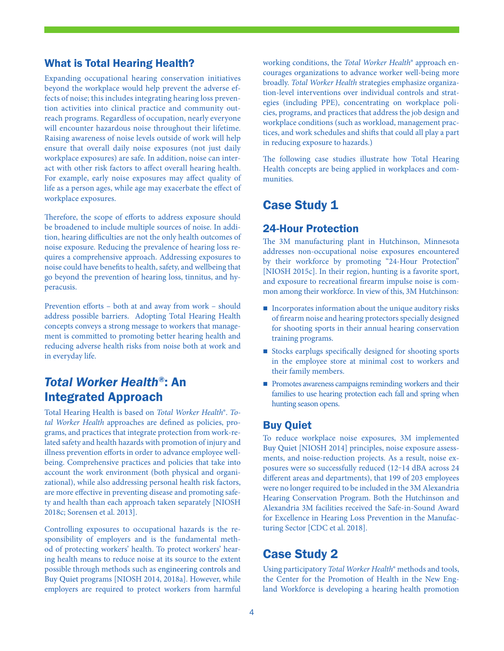#### What is Total Hearing Health?

Expanding occupational hearing conservation initiatives beyond the workplace would help prevent the adverse effects of noise; this includes integrating hearing loss prevention activities into clinical practice and community outreach programs. Regardless of occupation, nearly everyone will encounter hazardous noise throughout their lifetime. Raising awareness of noise levels outside of work will help ensure that overall daily noise exposures (not just daily workplace exposures) are safe. In addition, noise can interact with other risk factors to affect overall hearing health. For example, early noise exposures may affect quality of life as a person ages, while age may exacerbate the effect of workplace exposures.

Therefore, the scope of efforts to address exposure should be broadened to include multiple sources of noise. In addition, hearing difficulties are not the only health outcomes of noise exposure. Reducing the prevalence of hearing loss requires a comprehensive approach. Addressing exposures to noise could have benefits to health, safety, and wellbeing that go beyond the prevention of hearing loss, tinnitus, and hyperacusis.

Prevention efforts – both at and away from work – should address possible barriers. Adopting Total Hearing Health concepts conveys a strong message to workers that management is committed to promoting better hearing health and reducing adverse health risks from noise both at work and in everyday life.

## *Total Worker Health®*: An Integrated Approach

Total Hearing Health is based on *Total Worker Health*®. *Total Worker Health* approaches are defined as policies, programs, and practices that integrate protection from work-related safety and health hazards with promotion of injury and illness prevention efforts in order to advance employee wellbeing. Comprehensive practices and policies that take into account the work environment (both physical and organizational), while also addressing personal health risk factors, are more effective in preventing disease and promoting safety and health than each approach taken separately [NIOSH 2018c; Sorensen et al. 2013].

Controlling exposures to occupational hazards is the responsibility of employers and is the fundamental method of protecting workers' health. To protect workers' hearing health means to reduce noise at its source to the extent possible through methods such as [engineering controls](https://www.cdc.gov/niosh/topics/noisecontrol/default.html) and [Buy Quiet](https://www.cdc.gov/niosh/topics/buyquiet/default.html) programs [NIOSH 2014, 2018a]. However, while employers are required to protect workers from harmful

working conditions, the *Total Worker Health*® approach encourages organizations to advance worker well-being more broadly. *Total Worker Health* strategies emphasize organization-level interventions over individual controls and strategies (including PPE), concentrating on workplace policies, programs, and practices that address the job design and workplace conditions (such as workload, management practices, and work schedules and shifts that could all play a part in reducing exposure to hazards.)

The following case studies illustrate how Total Hearing Health concepts are being applied in workplaces and communities.

## Case Study 1

#### 24-Hour Protection

The 3M manufacturing plant in Hutchinson, Minnesota addresses non-occupational noise exposures encountered by their workforce by promoting "24-Hour Protection" [NIOSH 2015c]. In their region, hunting is a favorite sport, and exposure to recreational firearm impulse noise is common among their workforce. In view of this, 3M Hutchinson:

- $\blacksquare$  Incorporates information about the unique auditory risks of firearm noise and hearing protectors specially designed for shooting sports in their annual hearing conservation training programs.
- Stocks earplugs specifically designed for shooting sports in the employee store at minimal cost to workers and their family members.
- Promotes awareness campaigns reminding workers and their families to use hearing protection each fall and spring when hunting season opens.

#### Buy Quiet

To reduce workplace noise exposures, 3M implemented [Buy Quiet](https://www.cdc.gov/niosh/topics/buyquiet/default.html) [NIOSH 2014] principles, noise exposure assessments, and noise-reduction projects. As a result, noise exposures were so successfully reduced (12‒14 dBA across 24 different areas and departments), that 199 of 203 employees were no longer required to be included in the 3M Alexandria Hearing Conservation Program. Both the Hutchinson and Alexandria 3M facilities received the Safe-in-Sound Award for Excellence in Hearing Loss Prevention in the Manufacturing Sector [CDC et al. 2018].

#### Case Study 2

Using participatory *Total Worker Health*® methods and tools, the Center for the Promotion of Health in the New England Workforce is developing a hearing health promotion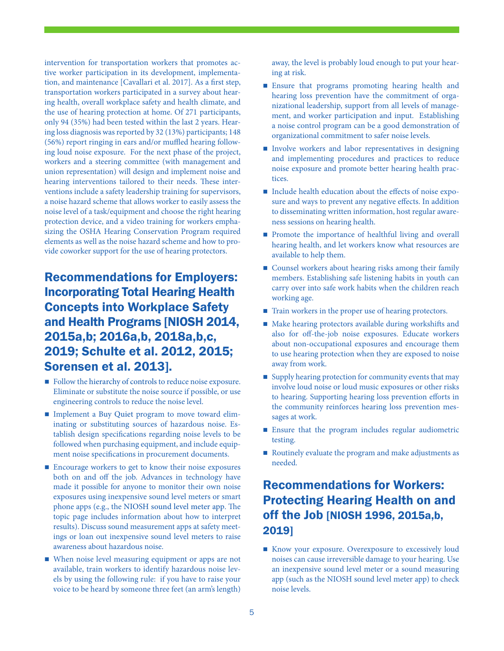intervention for transportation workers that promotes active worker participation in its development, implementation, and maintenance [Cavallari et al. 2017]. As a first step, transportation workers participated in a survey about hearing health, overall workplace safety and health climate, and the use of hearing protection at home. Of 271 participants, only 94 (35%) had been tested within the last 2 years. Hearing loss diagnosis was reported by 32 (13%) participants; 148 (56%) report ringing in ears and/or muffled hearing following loud noise exposure. For the next phase of the project, workers and a steering committee (with management and union representation) will design and implement noise and hearing interventions tailored to their needs. These interventions include a safety leadership training for supervisors, a noise hazard scheme that allows worker to easily assess the noise level of a task/equipment and choose the right hearing protection device, and a video training for workers emphasizing the OSHA Hearing Conservation Program required elements as well as the noise hazard scheme and how to provide coworker support for the use of hearing protectors.

# Recommendations for Employers: Incorporating Total Hearing Health Concepts into Workplace Safety and Health Programs [NIOSH 2014, 2015a,b; 2016a,b, 2018a,b,c, 2019; Schulte et al. 2012, 2015; Sorensen et al. 2013].

- Follow the [hierarchy of controls](https://www.cdc.gov/niosh/topics/noisecontrol/default.html) to reduce noise exposure. Eliminate or substitute the noise source if possible, or use engineering controls to reduce the noise level.
- Implement a [Buy Quiet](https://www.cdc.gov/niosh/topics/buyquiet/default.html) program to move toward eliminating or substituting sources of hazardous noise. Establish design specifications regarding noise levels to be followed when purchasing equipment, and include equipment noise specifications in procurement documents.
- Encourage workers to get to know their noise exposures both on and off the job. Advances in technology have made it possible for anyone to monitor their own noise exposures using inexpensive sound level meters or smart phone apps (e.g., the [NIOSH sound level meter app](https://www.cdc.gov/niosh/topics/noise/app.html). The topic page includes information about how to interpret results). Discuss sound measurement apps at safety meetings or loan out inexpensive sound level meters to raise awareness about hazardous noise.
- When noise level measuring equipment or apps are not available, train workers to identify hazardous noise levels by using the following rule: if you have to raise your voice to be heard by someone three feet (an arm's length)

away, the level is probably loud enough to put your hearing at risk.

- **Ensure that programs promoting hearing health and** hearing loss prevention have the commitment of organizational leadership, support from all levels of management, and worker participation and input. Establishing a noise control program can be a good demonstration of organizational commitment to safer noise levels.
- Involve workers and labor representatives in designing and implementing procedures and practices to reduce noise exposure and promote better hearing health practices.
- Include health education about the effects of noise exposure and ways to prevent any negative effects. In addition to disseminating written information, host regular awareness sessions on hearing health.
- **Promote the importance of healthful living and overall** hearing health, and let workers know what resources are available to help them.
- **Counsel workers about hearing risks among their family** members. Establishing safe listening habits in youth can carry over into safe work habits when the children reach working age.
- $\blacksquare$  Train workers in the proper use of hearing protectors.
- Make hearing protectors available during workshifts and also for off-the-job noise exposures. Educate workers about non-occupational exposures and encourage them to use hearing protection when they are exposed to noise away from work.
- Supply hearing protection for community events that may involve loud noise or loud music exposures or other risks to hearing. Supporting hearing loss prevention efforts in the community reinforces hearing loss prevention messages at work.
- Ensure that the program includes regular audiometric testing.
- Routinely evaluate the program and make adjustments as needed.

# Recommendations for Workers: Protecting Hearing Health on and off the Job [NIOSH 1996, 2015a,b, 2019]

Know your exposure. Overexposure to excessively loud noises can cause irreversible damage to your hearing. Use an inexpensive sound level meter or a sound measuring app (such as the NIOSH sound level meter app) to check noise levels.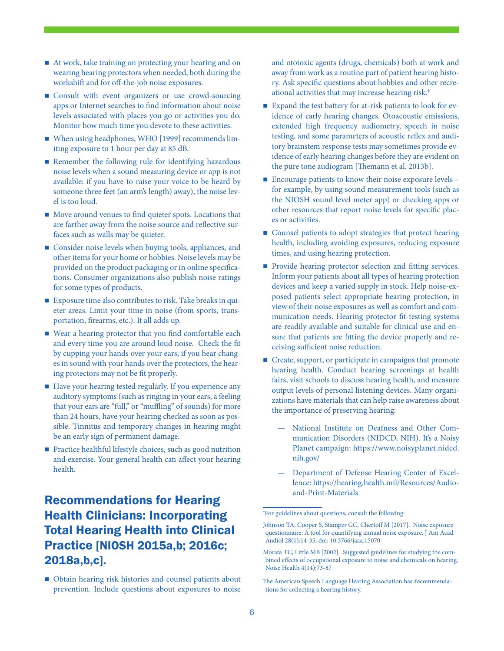- At work, take training on protecting your hearing and on wearing hearing protectors when needed, both during the workshift and for off-the-job noise exposures.
- Consult with event organizers or use crowd-sourcing apps or Internet searches to find information about noise levels associated with places you go or activities you do. Monitor how much time you devote to these activities.
- When using headphones, WHO [1999] recommends limiting exposure to 1 hour per day at 85 dB.
- Remember the following rule for identifying hazardous noise levels when a sound measuring device or app is not available: if you have to raise your voice to be heard by someone three feet (an arm's length) away), the noise level is too loud.
- Move around venues to find quieter spots. Locations that are farther away from the noise source and reflective surfaces such as walls may be quieter.
- Consider noise levels when buying tools, appliances, and other items for your home or hobbies. Noise levels may be provided on the product packaging or in online specifications. Consumer organizations also publish noise ratings for some types of products.
- Exposure time also contributes to risk. Take breaks in quieter areas. Limit your time in noise (from sports, transportation, firearms, etc.). It all adds up.
- Wear a hearing protector that you find comfortable each and every time you are around loud noise. Check the fit by cupping your hands over your ears; if you hear changes in sound with your hands over the protectors, the hearing protectors may not be fit properly.
- Have your hearing tested regularly. If you experience any auditory symptoms (such as ringing in your ears, a feeling that your ears are "full," or "muffling" of sounds) for more than 24 hours, have your hearing checked as soon as possible. Tinnitus and temporary changes in hearing might be an early sign of permanent damage.
- Practice healthful lifestyle choices, such as good nutrition and exercise. Your general health can affect your hearing health.

# Recommendations for Hearing Health Clinicians: Incorporating Total Hearing Health into Clinical Practice [NIOSH 2015a,b; 2016c; 2018a,b,c].

■ Obtain hearing risk histories and counsel patients about prevention. Include questions about exposures to noise and ototoxic agents (drugs, chemicals) both at work and away from work as a routine part of patient hearing history. Ask specific questions about hobbies and other recreational activities that may increase hearing risk.†

- Expand the test battery for at-risk patients to look for evidence of early hearing changes. Otoacoustic emissions, extended high frequency audiometry, speech in noise testing, and some parameters of acoustic reflex and auditory brainstem response tests may sometimes provide evidence of early hearing changes before they are evident on the pure tone audiogram [Themann et al. 2013b].
- Encourage patients to know their noise exposure levels for example, by using sound measurement tools (such as the NIOSH sound level meter app) or checking apps or other resources that report noise levels for specific places or activities.
- Counsel patients to adopt strategies that protect hearing health, including avoiding exposures, reducing exposure times, and using hearing protection.
- **Provide hearing protector selection and fitting services.** Inform your patients about all types of hearing protection devices and keep a varied supply in stock. Help noise-exposed patients select appropriate hearing protection, in view of their noise exposures as well as comfort and communication needs. Hearing protector fit-testing systems are readily available and suitable for clinical use and ensure that patients are fitting the device properly and receiving sufficient noise reduction.
- Create, support, or participate in campaigns that promote hearing health. Conduct hearing screenings at health fairs, visit schools to discuss hearing health, and measure output levels of personal listening devices. Many organizations have materials that can help raise awareness about the importance of preserving hearing:
	- National Institute on Deafness and Other Communication Disorders (NIDCD, NIH). It's a Noisy Planet campaign: https://www.noisyplanet.nidcd. nih.gov/
	- Department of Defense Hearing Center of Excellence: https://hearing.health.mil/Resources/Audioand-Print-Materials

<sup>†</sup> For guidelines about questions, consult the following:

Johnson TA, Cooper S, Stamper GC, Chertoff M [2017]. Noise exposure questionnaire: A tool for quantifying annual noise exposure. J Am Acad Audiol 28(1):14-35. doi: 10.3766/jaaa.15070

Morata TC, Little MB [2002]. Suggested guidelines for studying the combined effects of occupational exposure to noise and chemicals on hearing. Noise Health 4(14):73-87

The American Speech Language Hearing Association has [recommenda](https://www.asha.org/PRPSpecificTopic.aspx?folderid=8589935335§ion=Assessment)[tions](https://www.asha.org/PRPSpecificTopic.aspx?folderid=8589935335§ion=Assessment) for collecting a hearing history.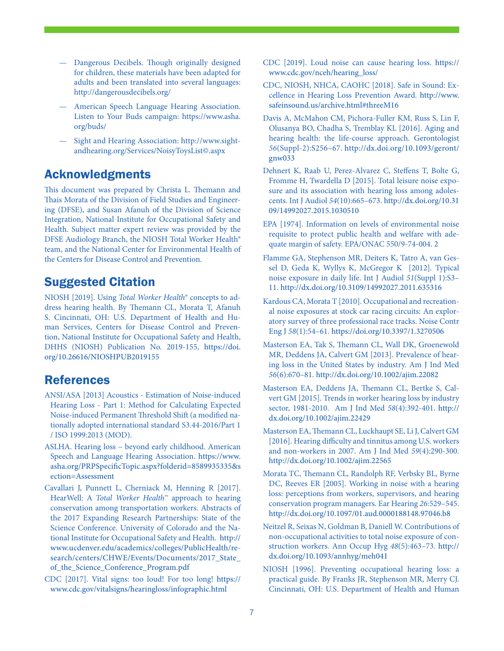- Dangerous Decibels. Though originally designed for children, these materials have been adapted for adults and been translated into several languages: http://dangerousdecibels.org/
- American Speech Language Hearing Association. Listen to Your Buds campaign: https://www.asha. org/buds/
- Sight and Hearing Association: http://www.sightandhearing.org/Services/NoisyToysList©.aspx

#### Acknowledgments

This document was prepared by Christa L. Themann and Thais Morata of the Division of Field Studies and Engineering (DFSE), and Susan Afanuh of the Division of Science Integration, National Institute for Occupational Safety and Health. Subject matter expert review was provided by the DFSE Audiology Branch, the NIOSH Total Worker Health® team, and the National Center for Environmental Health of the Centers for Disease Control and Prevention.

#### Suggested Citation

NIOSH [2019]. Using *Total Worker Health*® concepts to address hearing health. By Themann CL, Morata T, Afanuh S. Cincinnati, OH: U.S. Department of Health and Human Services, Centers for Disease Control and Prevention, National Institute for Occupational Safety and Health, DHHS (NIOSH) Publication No. 2019-155, [https://doi.](https://doi.org/10.26616/NIOSHPUB2019155) [org/10.26616/NIOSHPUB2019](https://doi.org/10.26616/NIOSHPUB2019155)155

#### References

- ANSI/ASA [2013] Acoustics Estimation of Noise-induced Hearing Loss - Part 1: Method for Calculating Expected Noise-induced Permanent Threshold Shift (a modified nationally adopted international standard S3.44-2016/Part 1 / ISO 1999:2013 (MOD).
- ASLHA. Hearing loss beyond early childhood. American Speech and Language Hearing Association. [https://www.](https://www.asha.org/PRPSpecificTopic.aspx?folderid=8589935335§ion=Assessment) [asha.org/PRPSpecificTopic.aspx?folderid=8589935335&s](https://www.asha.org/PRPSpecificTopic.aspx?folderid=8589935335§ion=Assessment) [ection=Assessment](https://www.asha.org/PRPSpecificTopic.aspx?folderid=8589935335§ion=Assessment)
- Cavallari J, Punnett L, Cherniack M, Henning R [2017]. HearWell: A *Total Worker Health*™ approach to hearing conservation among transportation workers. Abstracts of the 2017 Expanding Research Partnerships: State of the Science Conference. University of Colorado and the National Institute for Occupational Safety and Health. [http://](http://www.ucdenver.edu/academics/colleges/PublicHealth/research/centers/CHWE/Events/Documents/2017_State_of_the_Science_Conference_Program.pdf) [www.ucdenver.edu/academics/colleges/PublicHealth/re](http://www.ucdenver.edu/academics/colleges/PublicHealth/research/centers/CHWE/Events/Documents/2017_State_of_the_Science_Conference_Program.pdf)search/centers/CHWE/Events/Documents/2017\_State [of\\_the\\_Science\\_Conference\\_Program.pdf](http://www.ucdenver.edu/academics/colleges/PublicHealth/research/centers/CHWE/Events/Documents/2017_State_of_the_Science_Conference_Program.pdf)
- CDC [2017]. Vital signs: too loud! For too long! [https://](https://www.cdc.gov/vitalsigns/hearingloss/infographic.html) [www.cdc.gov/vitalsigns/hearingloss/infographic.html](https://www.cdc.gov/vitalsigns/hearingloss/infographic.html)
- CDC [2019]. Loud noise can cause hearing loss. [https://](https://www.cdc.gov/nceh/hearing_loss/) [www.cdc.gov/nceh/hearing\\_loss/](https://www.cdc.gov/nceh/hearing_loss/)
- CDC, NIOSH, NHCA, CAOHC [2018]. Safe in Sound: Excellence in Hearing Loss Prevention Award. [http://www.](http://www.safeinsound.us/archive.html#threeM16) [safeinsound.us/archive.html#threeM16](http://www.safeinsound.us/archive.html#threeM16)
- Davis A, McMahon CM, Pichora-Fuller KM, Russ S, Lin F, Olusanya BO, Chadha S, Tremblay KL [2016]. Aging and hearing health: the life-course approach. Gerontologist *56*(Suppl-2):S256–67. [http://dx.doi.org/10.1093/geront/](http://dx.doi.org/10.1093/geront/gnw033) [gnw033](http://dx.doi.org/10.1093/geront/gnw033)
- Dehnert K, Raab U, Perez-Alvarez C, Steffens T, Bolte G, Fromme H, Twardella D [2015]. Total leisure noise exposure and its association with hearing loss among adolescents. Int J Audiol *54*(10):665–673. [http://dx.doi.org/10.31](http://dx.doi.org/10.3109/14992027.2015.1030510) [09/14992027.2015.1030510](http://dx.doi.org/10.3109/14992027.2015.1030510)
- EPA [1974]. Information on levels of environmental noise requisite to protect public health and welfare with adequate margin of safety. EPA/ONAC 550/9-74-004. 2
- Flamme GA, Stephenson MR, Deiters K, Tatro A, van Gessel D, Geda K, Wyllys K, McGregor K [2012]. Typical noise exposure in daily life. Int J Audiol *51*(Suppl 1):S3– 11. <http://dx.doi.org/10.3109/14992027.2011.635316>
- Kardous CA, Morata T [2010]. Occupational and recreational noise exposures at stock car racing circuits: An exploratory survey of three professional race tracks. Noise Contr Eng J *58*(1):54–61. <https://doi.org/10.3397/1.3270506>
- Masterson EA, Tak S, Themann CL, Wall DK, Groenewold MR, Deddens JA, Calvert GM [2013]. Prevalence of hearing loss in the United States by industry. Am J Ind Med *56*(6):670–81. <http://dx.doi.org/10.1002/ajim.22082>
- Masterson EA, Deddens JA, Themann CL, Bertke S, Calvert GM [2015]. Trends in worker hearing loss by industry sector, 1981-2010. Am J Ind Med *58*(4):392-401. [http://](http://dx.doi.org/10.1002/ajim.22429) [dx.doi.org/10.1002/ajim.22429](http://dx.doi.org/10.1002/ajim.22429)
- Masterson EA, Themann CL, Luckhaupt SE, Li J, Calvert GM [2016]. Hearing difficulty and tinnitus among U.S. workers and non-workers in 2007. Am J Ind Med *59*(4):290-300. <http://dx.doi.org/10.1002/ajim.22565>
- Morata TC, Themann CL, Randolph RF, Verbsky BL, Byrne DC, Reeves ER [2005]. Working in noise with a hearing loss: perceptions from workers, supervisors, and hearing conservation program managers. Ear Hearing *26*:529–545. <http://dx.doi.org/10.1097/01.aud.0000188148.97046.b8>
- Neitzel R, Seixas N, Goldman B, Daniell W. Contributions of non-occupational activities to total noise exposure of construction workers. Ann Occup Hyg *48*(5):463–73. [http://](http://dx.doi.org/10.1093/annhyg/meh041) [dx.doi.org/10.1093/annhyg/meh041](http://dx.doi.org/10.1093/annhyg/meh041)
- NIOSH [1996]. Preventing occupational hearing loss: a practical guide. By Franks JR, Stephenson MR, Merry CJ. Cincinnati, OH: U.S. Department of Health and Human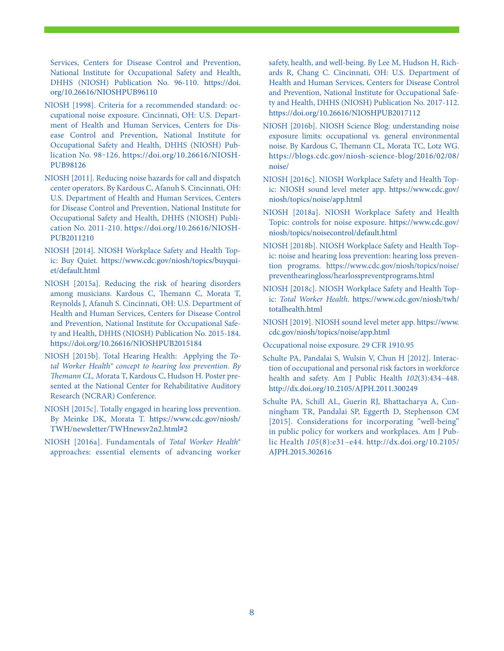Services, Centers for Disease Control and Prevention, National Institute for Occupational Safety and Health, DHHS (NIOSH) Publication No. 96-110. [https://doi.](https://doi.org/10.26616/NIOSHPUB96110) [org/10.26616/NIOSHPUB96110](https://doi.org/10.26616/NIOSHPUB96110)

- NIOSH [1998]. Criteria for a recommended standard: occupational noise exposure. Cincinnati, OH: U.S. Department of Health and Human Services, Centers for Disease Control and Prevention, National Institute for Occupational Safety and Health, DHHS (NIOSH) Publication No. 98-126. [https://doi.org/10.26616/NIOSH-](https://doi.org/10.26616/NIOSHPUB98126)[PUB98126](https://doi.org/10.26616/NIOSHPUB98126)
- NIOSH [2011]. Reducing noise hazards for call and dispatch center operators. By Kardous C, Afanuh S. Cincinnati, OH: U.S. Department of Health and Human Services, Centers for Disease Control and Prevention, National Institute for Occupational Safety and Health, DHHS (NIOSH) Publication No. 2011-210. [https://doi.org/10.26616/NIOSH-](https://doi.org/10.26616/NIOSHPUB2011210)[PUB2011210](https://doi.org/10.26616/NIOSHPUB2011210)
- NIOSH [2014]. NIOSH Workplace Safety and Health Topic: Buy Quiet. [https://www.cdc.gov/niosh/topics/buyqui](https://www.cdc.gov/niosh/topics/buyquiet/default.html)[et/default.html](https://www.cdc.gov/niosh/topics/buyquiet/default.html)
- NIOSH [2015a]. Reducing the risk of hearing disorders among musicians. Kardous C, Themann C, Morata T, Reynolds J, Afanuh S. Cincinnati, OH: U.S. Department of Health and Human Services, Centers for Disease Control and Prevention, National Institute for Occupational Safety and Health, DHHS (NIOSH) Publication No. 2015-184. <https://doi.org/10.26616/NIOSHPUB2015184>
- NIOSH [2015b]. Total Hearing Health: Applying the *Total Worker Health® concept to hearing loss prevention. By Themann CL, M*orata T, Kardous C, Hudson H. Poster presented at the National Center for Rehabilitative Auditory Research (NCRAR) Conference.
- NIOSH [2015c]. Totally engaged in hearing loss prevention. By Meinke DK, Morata T. [https://www.cdc.gov/niosh/](https://www.cdc.gov/niosh/TWH/newsletter/TWHnewsv2n2.html#2) [TWH/newsletter/TWHnewsv2n2.html#2](https://www.cdc.gov/niosh/TWH/newsletter/TWHnewsv2n2.html#2)
- NIOSH [2016a]. Fundamentals of *Total Worker Health*® approaches: essential elements of advancing worker

safety, health, and well-being. By Lee M, Hudson H, Richards R, Chang C. Cincinnati, OH: U.S. Department of Health and Human Services, Centers for Disease Control and Prevention, National Institute for Occupational Safety and Health, DHHS (NIOSH) Publication No. 2017-112. <https://doi.org/10.26616/NIOSHPUB2017112>

- NIOSH [2016b]. NIOSH Science Blog: understanding noise exposure limits: occupational vs. general environmental noise. By Kardous C, Themann CL, Morata TC, Lotz WG. [https://blogs.cdc.gov/niosh-science-blog/2016/02/08/](https://blogs.cdc.gov/niosh-science-blog/2016/02/08/noise/) [noise/](https://blogs.cdc.gov/niosh-science-blog/2016/02/08/noise/)
- NIOSH [2016c]. NIOSH Workplace Safety and Health Topic: NIOSH sound level meter app. [https://www.cdc.gov/](https://www.cdc.gov/niosh/topics/noise/app.html) [niosh/topics/noise/app.html](https://www.cdc.gov/niosh/topics/noise/app.html)
- NIOSH [2018a]. NIOSH Workplace Safety and Health Topic: controls for noise exposure. [https://www.cdc.gov/](https://www.cdc.gov/niosh/topics/noisecontrol/default.html) [niosh/topics/noisecontrol/default.html](https://www.cdc.gov/niosh/topics/noisecontrol/default.html)
- NIOSH [2018b]. NIOSH Workplace Safety and Health Topic: noise and hearing loss prevention: hearing loss prevention programs. https://www.cdc.gov/niosh/topics/noise/ preventhearingloss/hearlosspreventprograms.html
- NIOSH [2018c]. NIOSH Workplace Safety and Health Topic: *Total Worker Health*. [https://www.cdc.gov/niosh/twh/](https://www.cdc.gov/niosh/twh/totalhealth.html) [totalhealth.html](https://www.cdc.gov/niosh/twh/totalhealth.html)
- NIOSH [2019]. NIOSH sound level meter app. [https://www.](https://www.cdc.gov/niosh/topics/noise/app.html) [cdc.gov/niosh/topics/noise/app.html](https://www.cdc.gov/niosh/topics/noise/app.html)
- Occupational noise exposure. 29 CFR 1910.95
- Schulte PA, Pandalai S, Wulsin V, Chun H [2012]. Interaction of occupational and personal risk factors in workforce health and safety. Am J Public Health *102*(3):434–448. <http://dx.doi.org/10.2105/AJPH.2011.300249>
- Schulte PA, Schill AL, Guerin RJ, Bhattacharya A, Cunningham TR, Pandalai SP, Eggerth D, Stephenson CM [2015]. Considerations for incorporating "well-being" in public policy for workers and workplaces. Am J Public Health *105*(8):e31–e44. [http://dx.doi.org/10.2105/](http://dx.doi.org/10.2105/AJPH.2015.302616) [AJPH.2015.302616](http://dx.doi.org/10.2105/AJPH.2015.302616)